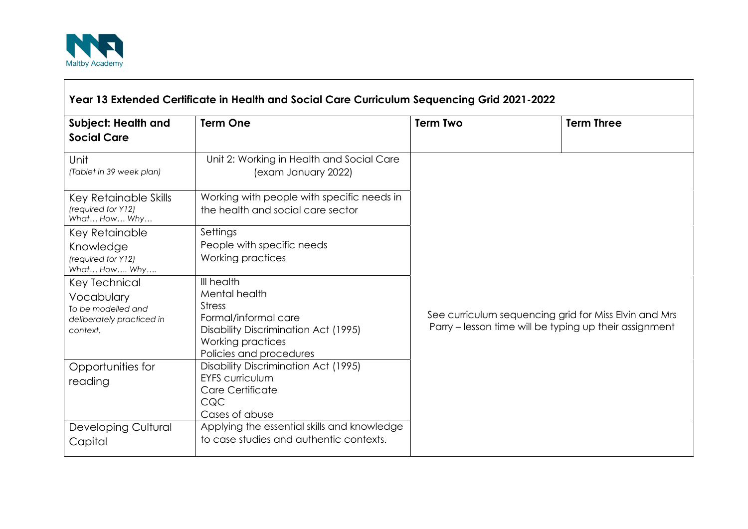

 $\Gamma$ 

| <b>Subject: Health and</b><br><b>Social Care</b>                                           | <b>Term One</b>                                                                                                                                              | <b>Term Two</b>                                                                                                 | <b>Term Three</b> |
|--------------------------------------------------------------------------------------------|--------------------------------------------------------------------------------------------------------------------------------------------------------------|-----------------------------------------------------------------------------------------------------------------|-------------------|
| Unit<br>(Tablet in 39 week plan)                                                           | Unit 2: Working in Health and Social Care<br>(exam January 2022)                                                                                             |                                                                                                                 |                   |
| Key Retainable Skills<br>(required for Y12)<br>What How Why                                | Working with people with specific needs in<br>the health and social care sector                                                                              |                                                                                                                 |                   |
| Key Retainable<br>Knowledge<br>(required for Y12)<br>What How Why                          | Settings<br>People with specific needs<br>Working practices                                                                                                  | See curriculum sequencing grid for Miss Elvin and Mrs<br>Parry – lesson time will be typing up their assignment |                   |
| Key Technical<br>Vocabulary<br>To be modelled and<br>deliberately practiced in<br>context. | III health<br>Mental health<br><b>Stress</b><br>Formal/informal care<br>Disability Discrimination Act (1995)<br>Working practices<br>Policies and procedures |                                                                                                                 |                   |
| Opportunities for<br>reading                                                               | Disability Discrimination Act (1995)<br><b>EYFS curriculum</b><br>Care Certificate<br>CQC<br>Cases of abuse                                                  |                                                                                                                 |                   |
| <b>Developing Cultural</b><br>Capital                                                      | Applying the essential skills and knowledge<br>to case studies and authentic contexts.                                                                       |                                                                                                                 |                   |